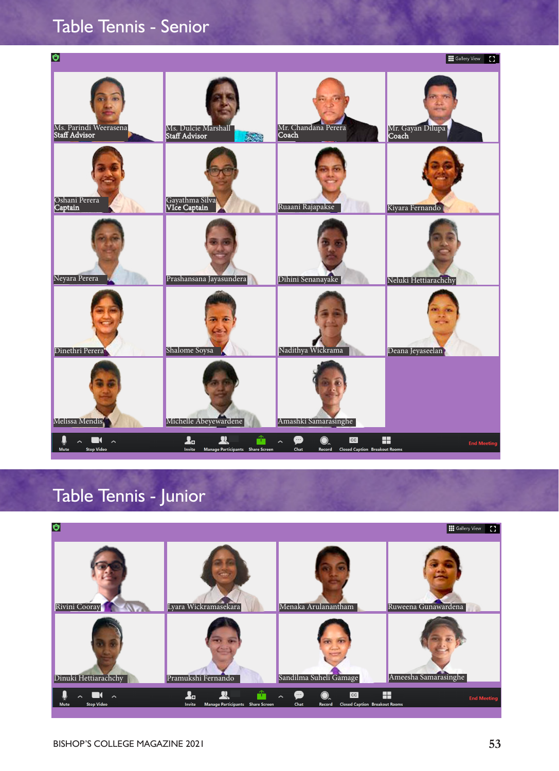## Table Tennis - Senior



## Table Tennis - Junior